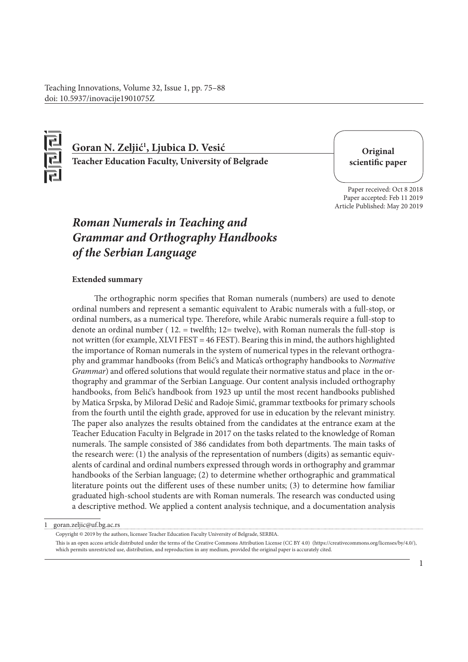Teaching Innovations, Volume 32, Issue 1, pp. 75–88 doi: 10.5937/inovacije1901075Z



**Goran N. Zeljić1 , Ljubica D. Vesić**

**Teacher Education Faculty, University of Belgrade**

**Original scientific paper**

Paper received: Oct 8 2018 Paper accepted: Feb 11 2019 Article Published: May 20 2019

## *Roman Numerals in Teaching and Grammar and Orthography Handbooks of the Serbian Language*

## **Extended summary**

The orthographic norm specifies that Roman numerals (numbers) are used to denote ordinal numbers and represent a semantic equivalent to Arabic numerals with a full-stop, or ordinal numbers, as a numerical type. Therefore, while Arabic numerals require a full-stop to denote an ordinal number  $(12. = twelfth; 12 = twelve)$ , with Roman numerals the full-stop is not written (for example, XLVI FEST = 46 FEST). Bearing this in mind, the authors highlighted the importance of Roman numerals in the system of numerical types in the relevant orthography and grammar handbooks (from Belić's and Matica's orthography handbooks to *Normative Grammar*) and offered solutions that would regulate their normative status and place in the orthography and grammar of the Serbian Language. Our content analysis included orthography handbooks, from Belić's handbook from 1923 up until the most recent handbooks published by Matica Srpska, by Milorad Dešić and Radoje Simić, grammar textbooks for primary schools from the fourth until the eighth grade, approved for use in education by the relevant ministry. The paper also analyzes the results obtained from the candidates at the entrance exam at the Teacher Education Faculty in Belgrade in 2017 on the tasks related to the knowledge of Roman numerals. The sample consisted of 386 candidates from both departments. The main tasks of the research were: (1) the analysis of the representation of numbers (digits) as semantic equivalents of cardinal and ordinal numbers expressed through words in orthography and grammar handbooks of the Serbian language; (2) to determine whether orthographic and grammatical literature points out the different uses of these number units; (3) to determine how familiar graduated high-school students are with Roman numerals. The research was conducted using a descriptive method. We applied a content analysis technique, and a documentation analysis

Copyright © 2019 by the authors, licensee Teacher Education Faculty University of Belgrade, SERBIA.

This is an open access article distributed under the terms of the Creative Commons Attribution License (CC BY 4.0) (https://creativecommons.org/licenses/by/4.0/), which permits unrestricted use, distribution, and reproduction in any medium, provided the original paper is accurately cited.

<sup>1</sup> goran.zeljic@uf.bg.ac.rs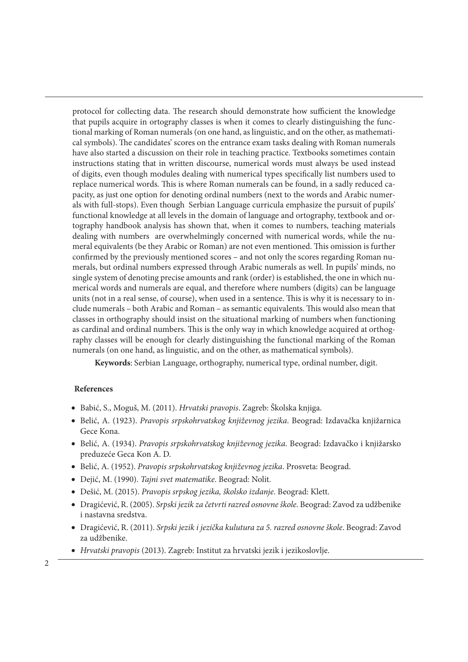protocol for collecting data. The research should demonstrate how sufficient the knowledge that pupils acquire in ortography classes is when it comes to clearly distinguishing the functional marking of Roman numerals (on one hand, as linguistic, and on the other, as mathematical symbols). The candidates' scores on the entrance exam tasks dealing with Roman numerals have also started a discussion on their role in teaching practice. Textbooks sometimes contain instructions stating that in written discourse, numerical words must always be used instead of digits, even though modules dealing with numerical types specifically list numbers used to replace numerical words. This is where Roman numerals can be found, in a sadly reduced capacity, as just one option for denoting ordinal numbers (next to the words and Arabic numerals with full-stops). Even though Serbian Language curricula emphasize the pursuit of pupils' functional knowledge at all levels in the domain of language and ortography, textbook and ortography handbook analysis has shown that, when it comes to numbers, teaching materials dealing with numbers are overwhelmingly concerned with numerical words, while the numeral equivalents (be they Arabic or Roman) are not even mentioned. This omission is further confirmed by the previously mentioned scores – and not only the scores regarding Roman numerals, but ordinal numbers expressed through Arabic numerals as well. In pupils' minds, no single system of denoting precise amounts and rank (order) is established, the one in which numerical words and numerals are equal, and therefore where numbers (digits) can be language units (not in a real sense, of course), when used in a sentence. This is why it is necessary to include numerals – both Arabic and Roman – as semantic equivalents. This would also mean that classes in orthography should insist on the situational marking of numbers when functioning as cardinal and ordinal numbers. This is the only way in which knowledge acquired at orthography classes will be enough for clearly distinguishing the functional marking of the Roman numerals (on one hand, as linguistic, and on the other, as mathematical symbols).

**Keywords**: Serbian Language, orthography, numerical type, ordinal number, digit.

## **References**

- Babić, S., Moguš, M. (2011). *Hrvatski pravopis*. Zagreb: Školska knjiga.
- Belić, A. (1923). *Pravopis srpskohrvatskog književnog jezika*. Beograd: Izdavačka knjižarnica Gece Kona.
- Belić, A. (1934). *Pravopis srpskohrvatskog književnog jezika*. Beograd: Izdavačkо i knjižarsko preduzeće Geca Kon A. D.
- Belić, A. (1952). *Pravopis srpskohrvatskog književnog jezika*. Prosveta: Beograd.
- Dejić, M. (1990). *Tajni svet matematike*. Beograd: Nolit.
- Dešić, M. (2015). *Pravopis srpskog jezika, školsko izdanje*. Beograd: Klett.
- Dragićević, R. (2005). *Srpski jezik za četvrti razred osnovne škole*. Beograd: Zavod za udžbenike i nastavna sredstva.
- Dragićević, R. (2011). *Srpski jezik i jezička kulutura za 5. razred osnovne škole*. Beograd: Zavod za udžbenike.
- *Hrvatski pravopis* (2013). Zagreb: Institut za hrvatski jezik i jezikoslovlјe.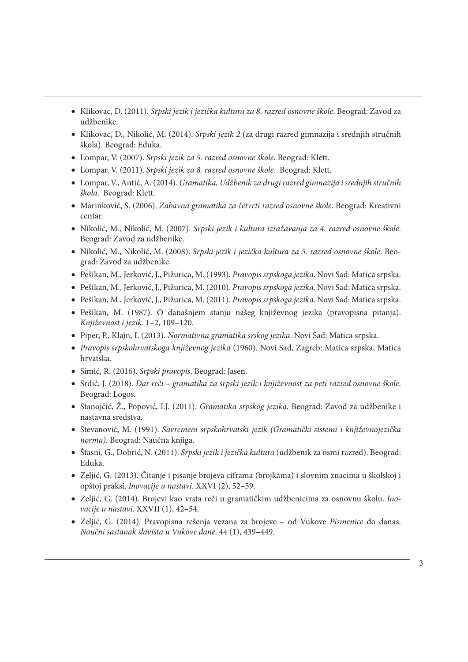- Klikovac, D. (2011). *Srpski jezik i jezička kultura za 8. razred osnovne škole*. Beograd: Zavod za udžbenike.
- Klikovac, D., Nikolić, M. (2014). *Srpski jezik 2* (za drugi razred gimnazija i srednjih stručnih škola). Beograd: Eduka.
- Lompar, V. (2007). *Srpski jezik za 5. razred osnovne škole*. Beograd: Klett.
- Lompar, V. (2011). *Srpski jezik za 8. razred osnovne škole*. Beograd: Klett.
- Lompar, V., Antić, A. (2014). *Gramatika, Udžbenik za drugi razred gimnazija i srednjih stručnih škola*. Beograd: Klett.
- Marinković, S. (2006). *Zabavna gramatika za četvrti razred osnovne škole*. Beograd: Kreativni centar.
- Nikolić, M., Nikolić, M. (2007). *Srpski jezik i kultura izražavanja za 4. razred osnovne škole*. Beograd: Zavod za udžbenike.
- Nikolić, M., Nikolić, M. (2008). *Srpski jezik i jezička kultura za 5. razred osnovne škole*. Beograd: Zavod za udžbenike.
- Pešikan, M., Jerković, J., Pižurica, M. (1993). *Pravopis srpskoga jezika*. Novi Sad: Matica srpska.
- Pešikan, M., Jerković, J., Pižurica, M. (2010). *Pravopis srpskoga jezika*. Novi Sad: Matica srpska.
- Pešikan, M., Jerković, J., Pižurica, M. (2011). *Pravopis srpskoga jezika*. Novi Sad: Matica srpska.
- Pešikan, M. (1987). O današnjem stanju našeg književnog jezika (pravopisna pitanja). *Književnost i jezik*. 1–2, 109–120.
- Piper, P., Klajn, I. (2013). *Normativna gramatika srskog jezika*. Novi Sad: Matica srpska.
- *Pravopis srpskohrvatskoga književnog jezika* (1960). Novi Sad, Zagreb: Matica srpska, Matica hrvatska.
- Simić, R. (2016). *Srpski pravopis*. Beograd: Jasen.
- Srdić, J. (2018). *Dar reči gramatika za srpski jezik i književnost za peti razred osnovne škole*. Beograd: Logos.
- Stanojčić, Ž., Popović, LJ. (2011). *Gramatika srpskog jezika*. Beograd: Zavod za udžbenike i nastavna sredstva.
- Stevanović, M. (1991). *Savremeni srpskohrvatski jezik (Gramatički sistemi i književnojezička norma)*. Beograd: Naučna knjiga.
- Štasni, G., Dobrić, N. (2011). *Srpski jezik i jezička kultura* (udžbenik za osmi razred). Beograd: Eduka.
- Zelјić, G. (2013). Čitanje i pisanje brojeva ciframa (brojkama) i slovnim znacima u školskoj i opštoj praksi. *Inovacije u nastavi*. XXVI (2), 52–59.
- Zelјić, G. (2014). Brojevi kao vrsta reči u gramatičkim udžbenicima za osnovnu školu. *Inovacije u nastavi*. XXVII (1), 42–54.
- Zelјić, G. (2014). Pravopisna rešenja vezana za brojeve od Vukove *Pismenice* do danas. *Naučni sastanak slavista u Vukove dane*. 44 (1), 439–449.